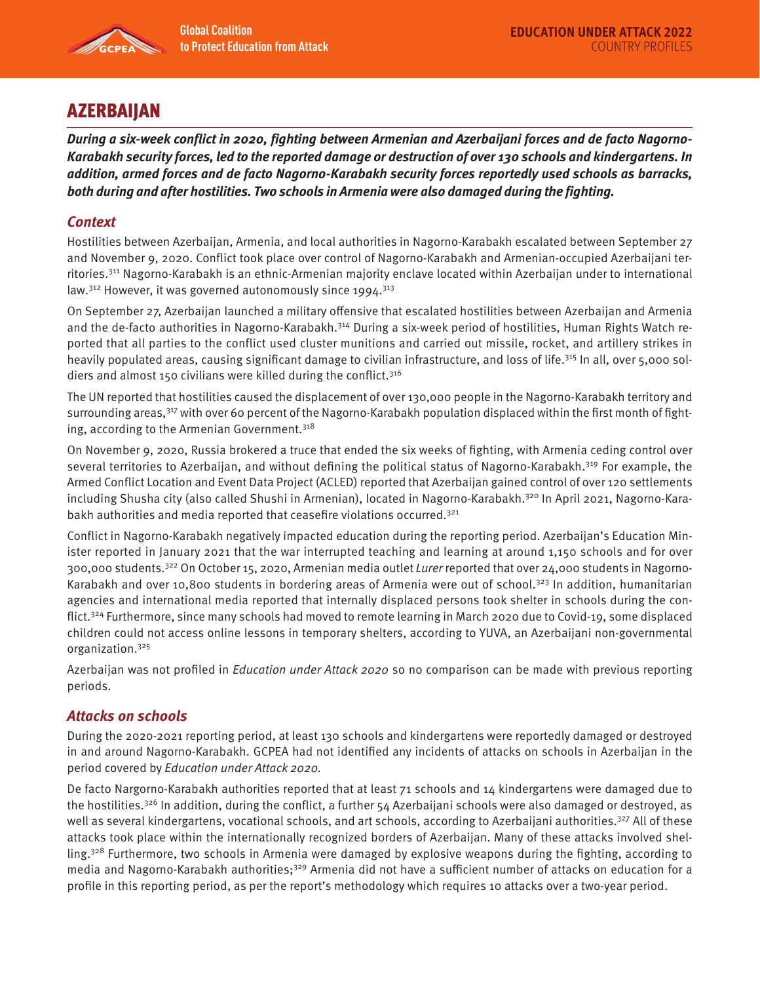

# **AZERBAIJAN**

**During a six-week conflict in 2020, fighting between Armenian and Azerbaijani forces and de facto Nagorno-Karabakh security forces, led to the reported damage or destruction of over 130 schools and kindergartens. In addition, armed forces and de facto Nagorno-Karabakh security forces reportedly used schools as barracks, both during and after hostilities. Two schools in Armenia were also damaged during the fighting.** 

## **Context**

Hostilities between Azerbaijan, Armenia, and local authorities in Nagorno-Karabakh escalated between September 27 and November 9, 2020. Conflict took place over control of Nagorno-Karabakh and Armenian-occupied Azerbaijani territories.311 Nagorno-Karabakh is an ethnic-Armenian majority enclave located within Azerbaijan under to international law. $312$  However, it was governed autonomously since 1994. $313$ 

On September 27, Azerbaijan launched a military offensive that escalated hostilities between Azerbaijan and Armenia and the de-facto authorities in Nagorno-Karabakh.<sup>314</sup> During a six-week period of hostilities, Human Rights Watch reported that all parties to the conflict used cluster munitions and carried out missile, rocket, and artillery strikes in heavily populated areas, causing significant damage to civilian infrastructure, and loss of life.315 In all, over 5,000 soldiers and almost 150 civilians were killed during the conflict.<sup>316</sup>

The UN reported that hostilities caused the displacement of over 130,000 people in the Nagorno-Karabakh territory and surrounding areas,<sup>317</sup> with over 60 percent of the Nagorno-Karabakh population displaced within the first month of fighting, according to the Armenian Government.<sup>318</sup>

On November 9, 2020, Russia brokered a truce that ended the six weeks of fighting, with Armenia ceding control over several territories to Azerbaijan, and without defining the political status of Nagorno-Karabakh.<sup>319</sup> For example, the Armed Conflict Location and Event Data Project (ACLED) reported that Azerbaijan gained control of over 120 settlements including Shusha city (also called Shushi in Armenian), located in Nagorno-Karabakh.<sup>320</sup> In April 2021, Nagorno-Karabakh authorities and media reported that ceasefire violations occurred.321

Conflict in Nagorno-Karabakh negatively impacted education during the reporting period. Azerbaijan's Education Minister reported in January 2021 that the war interrupted teaching and learning at around 1,150 schools and for over 300,000 students.<sup>322</sup> On October 15, 2020, Armenian media outlet Lurer reported that over 24,000 students in Nagorno-Karabakh and over 10,800 students in bordering areas of Armenia were out of school.<sup>323</sup> In addition, humanitarian agencies and international media reported that internally displaced persons took shelter in schools during the conflict.324 Furthermore, since many schools had moved to remote learning in March 2020 due to Covid-19, some displaced children could not access online lessons in temporary shelters, according to YUVA, an Azerbaijani non-governmental organization.325

Azerbaijan was not profiled in *Education under Attack 2020* so no comparison can be made with previous reporting periods.

### **Attacks on schools**

During the 2020-2021 reporting period, at least 130 schools and kindergartens were reportedly damaged or destroyed in and around Nagorno-Karabakh. GCPEA had not identified any incidents of attacks on schools in Azerbaijan in the period covered by Education under Attack 2020.

De facto Nargorno-Karabakh authorities reported that at least 71 schools and 14 kindergartens were damaged due to the hostilities.<sup>326</sup> In addition, during the conflict, a further  $54$  Azerbaijani schools were also damaged or destroyed, as well as several kindergartens, vocational schools, and art schools, according to Azerbaijani authorities.<sup>327</sup> All of these attacks took place within the internationally recognized borders of Azerbaijan. Many of these attacks involved shelling.<sup>328</sup> Furthermore, two schools in Armenia were damaged by explosive weapons during the fighting, according to media and Nagorno-Karabakh authorities;<sup>329</sup> Armenia did not have a sufficient number of attacks on education for a profile in this reporting period, as per the report's methodology which requires 10 attacks over a two-year period.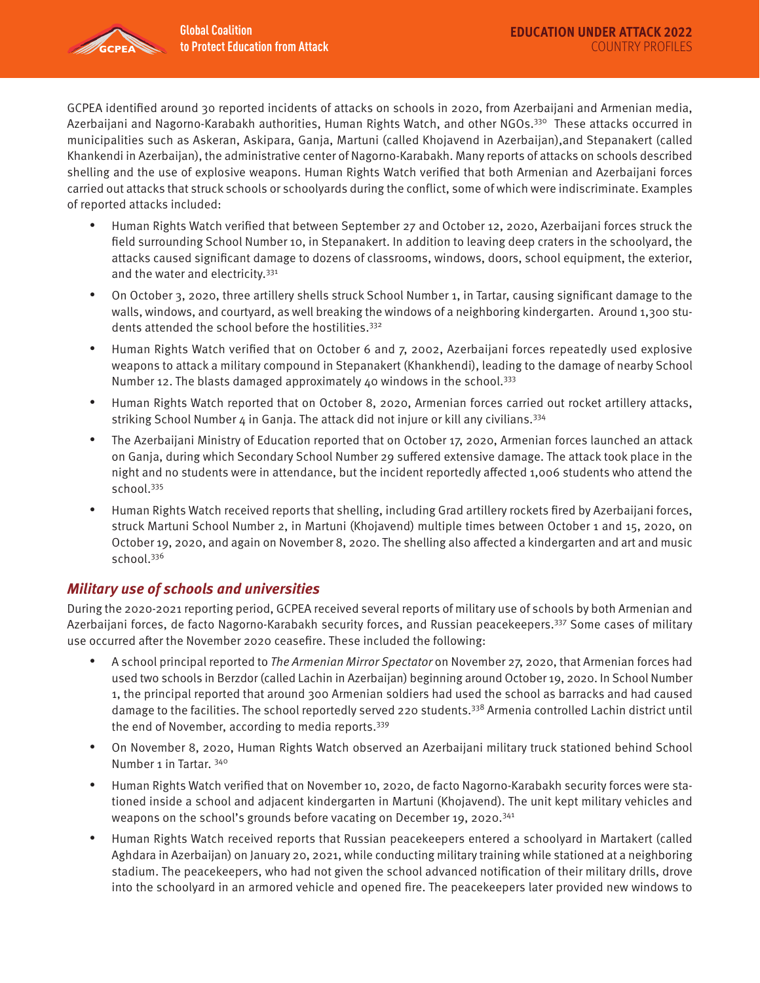

GCPEA identified around 30 reported incidents of attacks on schools in 2020, from Azerbaijani and Armenian media, Azerbaijani and Nagorno-Karabakh authorities, Human Rights Watch, and other NGOs.<sup>330</sup> These attacks occurred in municipalities such as Askeran, Askipara, Ganja, Martuni (called Khojavend in Azerbaijan),and Stepanakert (called Khankendi in Azerbaijan), the administrative center of Nagorno-Karabakh. Many reports of attacks on schools described shelling and the use of explosive weapons. Human Rights Watch verified that both Armenian and Azerbaijani forces carried out attacks that struck schools or schoolyards during the conflict, some of which were indiscriminate. Examples of reported attacks included:

- Human Rights Watch verified that between September 27 and October 12, 2020, Azerbaijani forces struck the field surrounding School Number 10, in Stepanakert. In addition to leaving deep craters in the schoolyard, the attacks caused significant damage to dozens of classrooms, windows, doors, school equipment, the exterior, and the water and electricity.<sup>331</sup>
- On October 3, 2020, three artillery shells struck School Number 1, in Tartar, causing significant damage to the walls, windows, and courtyard, as well breaking the windows of a neighboring kindergarten. Around 1,300 students attended the school before the hostilities.<sup>332</sup>
- Human Rights Watch verified that on October 6 and 7, 2002, Azerbaijani forces repeatedly used explosive weapons to attack a military compound in Stepanakert (Khankhendi), leading to the damage of nearby School Number 12. The blasts damaged approximately 40 windows in the school.<sup>333</sup>
- Human Rights Watch reported that on October 8, 2020, Armenian forces carried out rocket artillery attacks, striking School Number  $4$  in Ganja. The attack did not injure or kill any civilians.<sup>334</sup>
- The Azerbaijani Ministry of Education reported that on October 17, 2020, Armenian forces launched an attack on Ganja, during which Secondary School Number 29 suffered extensive damage. The attack took place in the night and no students were in attendance, but the incident reportedly affected 1,006 students who attend the school.<sup>335</sup>
- Human Rights Watch received reports that shelling, including Grad artillery rockets fired by Azerbaijani forces, struck Martuni School Number 2, in Martuni (Khojavend) multiple times between October 1 and 15, 2020, on October 19, 2020, and again on November 8, 2020. The shelling also affected a kindergarten and art and music school.<sup>336</sup>

## **Military use of schools and universities**

During the 2020-2021 reporting period, GCPEA received several reports of military use of schools by both Armenian and Azerbaijani forces, de facto Nagorno-Karabakh security forces, and Russian peacekeepers.<sup>337</sup> Some cases of military use occurred after the November 2020 ceasefire. These included the following:

- A school principal reported to The Armenian Mirror Spectator on November 27, 2020, that Armenian forces had used two schools in Berzdor (called Lachin in Azerbaijan) beginning around October 19, 2020. In School Number 1, the principal reported that around 300 Armenian soldiers had used the school as barracks and had caused damage to the facilities. The school reportedly served 220 students.<sup>338</sup> Armenia controlled Lachin district until the end of November, according to media reports.339
- On November 8, 2020, Human Rights Watch observed an Azerbaijani military truck stationed behind School Number 1 in Tartar. 340
- Human Rights Watch verified that on November 10, 2020, de facto Nagorno-Karabakh security forces were stationed inside a school and adjacent kindergarten in Martuni (Khojavend). The unit kept military vehicles and weapons on the school's grounds before vacating on December 19, 2020.<sup>341</sup>
- Human Rights Watch received reports that Russian peacekeepers entered a schoolyard in Martakert (called Aghdara in Azerbaijan) on January 20, 2021, while conducting military training while stationed at a neighboring stadium. The peacekeepers, who had not given the school advanced notification of their military drills, drove into the schoolyard in an armored vehicle and opened fire. The peacekeepers later provided new windows to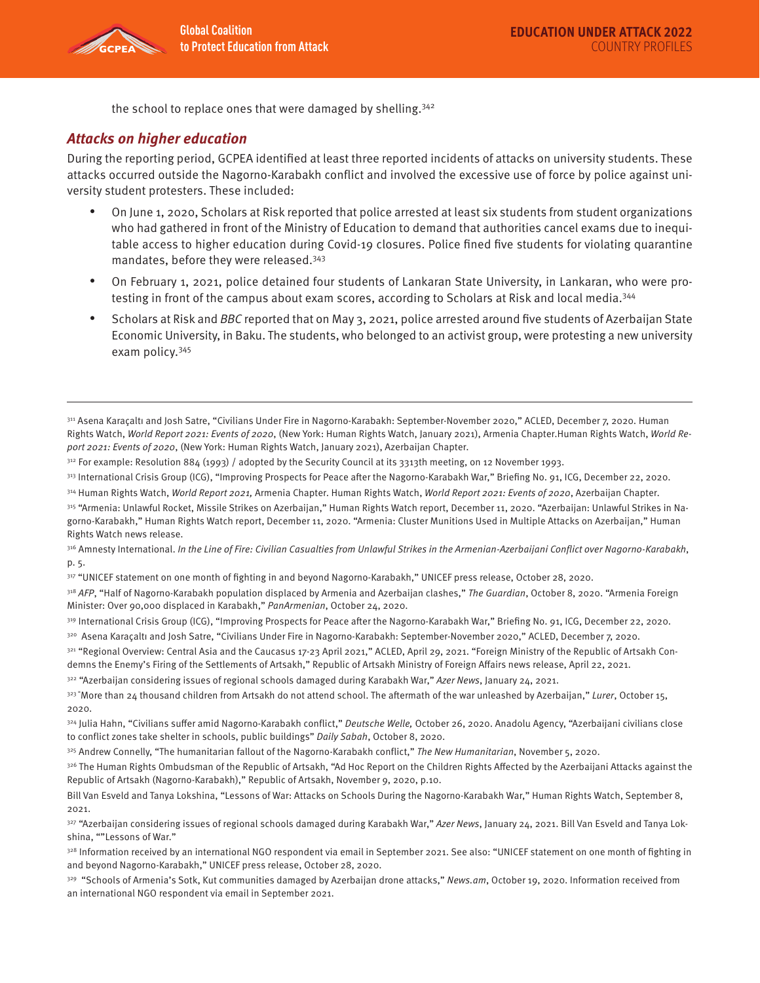

the school to replace ones that were damaged by shelling.<sup>342</sup>

#### **Attacks on higher education**

During the reporting period, GCPEA identified at least three reported incidents of attacks on university students. These attacks occurred outside the Nagorno-Karabakh conflict and involved the excessive use of force by police against university student protesters. These included:

- On June 1, 2020, Scholars at Risk reported that police arrested at least six students from student organizations who had gathered in front of the Ministry of Education to demand that authorities cancel exams due to inequitable access to higher education during Covid-19 closures. Police fined five students for violating quarantine mandates, before they were released.343
- On February 1, 2021, police detained four students of Lankaran State University, in Lankaran, who were protesting in front of the campus about exam scores, according to Scholars at Risk and local media.344
- Scholars at Risk and BBC reported that on May 3, 2021, police arrested around five students of Azerbaijan State Economic University, in Baku. The students, who belonged to an activist group, were protesting a new university exam policy.345

- <sup>312</sup> For example: Resolution 884 (1993) / adopted by the Security Council at its 3313th meeting, on 12 November 1993.
- 313 International Crisis Group (ICG), "Improving Prospects for Peace after the Nagorno-Karabakh War," Briefing No. 91, ICG, December 22, 2020.
- 314 Human Rights Watch, World Report 2021, Armenia Chapter. Human Rights Watch, World Report 2021: Events of 2020, Azerbaijan Chapter.
- 315 "Armenia: Unlawful Rocket, Missile Strikes on Azerbaijan," Human Rights Watch report, December 11, 2020. "Azerbaijan: Unlawful Strikes in Nagorno-Karabakh," Human Rights Watch report, December 11, 2020. "Armenia: Cluster Munitions Used in Multiple Attacks on Azerbaijan," Human Rights Watch news release.

316 Amnesty International. In the Line of Fire: Civilian Casualties from Unlawful Strikes in the Armenian-Azerbaijani Conflict over Nagorno-Karabakh, p. 5.

317 "UNICEF statement on one month of fighting in and beyond Nagorno-Karabakh," UNICEF press release, October 28, 2020.

318 AFP, "Half of Nagorno-Karabakh population displaced by Armenia and Azerbaijan clashes," The Guardian, October 8, 2020. "Armenia Foreign Minister: Over 90,000 displaced in Karabakh," PanArmenian, October 24, 2020.

319 International Crisis Group (ICG), "Improving Prospects for Peace after the Nagorno-Karabakh War," Briefing No. 91, ICG, December 22, 2020.

320 Asena Karaçaltı and Josh Satre, "Civilians Under Fire in Nagorno-Karabakh: September-November 2020," ACLED, December 7, 2020.

321 "Regional Overview: Central Asia and the Caucasus 17-23 April 2021," ACLED, April 29, 2021. "Foreign Ministry of the Republic of Artsakh Condemns the Enemy's Firing of the Settlements of Artsakh," Republic of Artsakh Ministry of Foreign Affairs news release, April 22, 2021.

322 "Azerbaijan considering issues of regional schools damaged during Karabakh War," Azer News, January 24, 2021.

323 "More than 24 thousand children from Artsakh do not attend school. The aftermath of the war unleashed by Azerbaijan," Lurer, October 15, 2020.

324 Julia Hahn, "Civilians suffer amid Nagorno-Karabakh conflict," Deutsche Welle, October 26, 2020. Anadolu Agency, "Azerbaijani civilians close to conflict zones take shelter in schools, public buildings" Daily Sabah, October 8, 2020.

325 Andrew Connelly, "The humanitarian fallout of the Nagorno-Karabakh conflict," The New Humanitarian, November 5, 2020.

326 The Human Rights Ombudsman of the Republic of Artsakh, "Ad Hoc Report on the Children Rights Affected by the Azerbaijani Attacks against the Republic of Artsakh (Nagorno-Karabakh)," Republic of Artsakh, November 9, 2020, p.10.

329 "Schools of Armenia's Sotk, Kut communities damaged by Azerbaijan drone attacks," News.am, October 19, 2020. Information received from an international NGO respondent via email in September 2021.

<sup>311</sup> Asena Karaçaltı and Josh Satre, "Civilians Under Fire in Nagorno-Karabakh: September-November 2020," ACLED, December 7, 2020. Human Rights Watch, World Report 2021: Events of 2020, (New York: Human Rights Watch, January 2021), Armenia Chapter.Human Rights Watch, World Report 2021: Events of 2020, (New York: Human Rights Watch, January 2021), Azerbaijan Chapter.

Bill Van Esveld and Tanya Lokshina, "Lessons of War: Attacks on Schools During the Nagorno-Karabakh War," Human Rights Watch, September 8, 2021.

<sup>327 &</sup>quot;Azerbaijan considering issues of regional schools damaged during Karabakh War," Azer News, January 24, 2021. Bill Van Esveld and Tanya Lokshina, ""Lessons of War."

<sup>328</sup> Information received by an international NGO respondent via email in September 2021. See also: "UNICEF statement on one month of fighting in and beyond Nagorno-Karabakh," UNICEF press release, October 28, 2020.